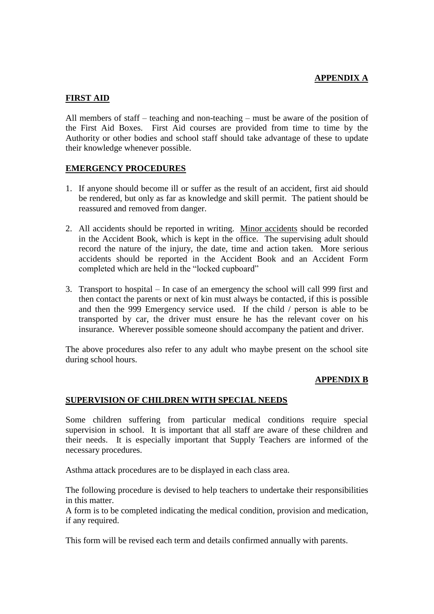### **APPENDIX A**

### **FIRST AID**

All members of staff – teaching and non-teaching – must be aware of the position of the First Aid Boxes. First Aid courses are provided from time to time by the Authority or other bodies and school staff should take advantage of these to update their knowledge whenever possible.

### **EMERGENCY PROCEDURES**

- 1. If anyone should become ill or suffer as the result of an accident, first aid should be rendered, but only as far as knowledge and skill permit. The patient should be reassured and removed from danger.
- 2. All accidents should be reported in writing. Minor accidents should be recorded in the Accident Book, which is kept in the office. The supervising adult should record the nature of the injury, the date, time and action taken. More serious accidents should be reported in the Accident Book and an Accident Form completed which are held in the "locked cupboard"
- 3. Transport to hospital In case of an emergency the school will call 999 first and then contact the parents or next of kin must always be contacted, if this is possible and then the 999 Emergency service used. If the child / person is able to be transported by car, the driver must ensure he has the relevant cover on his insurance. Wherever possible someone should accompany the patient and driver.

The above procedures also refer to any adult who maybe present on the school site during school hours.

### **APPENDIX B**

### **SUPERVISION OF CHILDREN WITH SPECIAL NEEDS**

Some children suffering from particular medical conditions require special supervision in school. It is important that all staff are aware of these children and their needs. It is especially important that Supply Teachers are informed of the necessary procedures.

Asthma attack procedures are to be displayed in each class area.

The following procedure is devised to help teachers to undertake their responsibilities in this matter.

A form is to be completed indicating the medical condition, provision and medication, if any required.

This form will be revised each term and details confirmed annually with parents.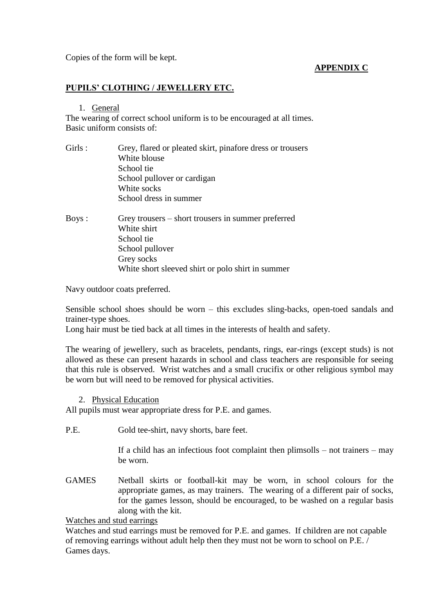Copies of the form will be kept.

# **APPENDIX C**

### **PUPILS' CLOTHING / JEWELLERY ETC.**

#### 1. General

The wearing of correct school uniform is to be encouraged at all times. Basic uniform consists of:

| Girls : | Grey, flared or pleated skirt, pinafore dress or trousers<br>White blouse<br>School tie |
|---------|-----------------------------------------------------------------------------------------|
|         | School pullover or cardigan<br>White socks<br>School dress in summer                    |
| Boys :  | Grey trousers – short trousers in summer preferred<br>White shirt<br>School tie         |

School tie School pullover Grey socks White short sleeved shirt or polo shirt in summer

Navy outdoor coats preferred.

Sensible school shoes should be worn – this excludes sling-backs, open-toed sandals and trainer-type shoes.

Long hair must be tied back at all times in the interests of health and safety.

The wearing of jewellery, such as bracelets, pendants, rings, ear-rings (except studs) is not allowed as these can present hazards in school and class teachers are responsible for seeing that this rule is observed. Wrist watches and a small crucifix or other religious symbol may be worn but will need to be removed for physical activities.

2. Physical Education

All pupils must wear appropriate dress for P.E. and games.

P.E. Gold tee-shirt, navy shorts, bare feet.

If a child has an infectious foot complaint then plimsolls – not trainers – may be worn.

GAMES Netball skirts or football-kit may be worn, in school colours for the appropriate games, as may trainers. The wearing of a different pair of socks, for the games lesson, should be encouraged, to be washed on a regular basis along with the kit.

Watches and stud earrings

Watches and stud earrings must be removed for P.E. and games. If children are not capable of removing earrings without adult help then they must not be worn to school on P.E. / Games days.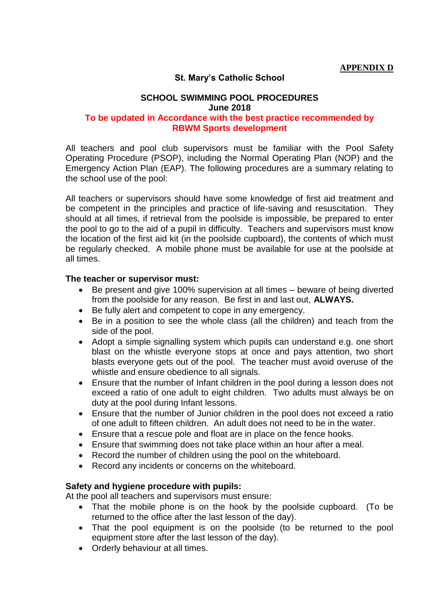# **St. Mary's Catholic School**

# **SCHOOL SWIMMING POOL PROCEDURES June 2018**

# **To be updated in Accordance with the best practice recommended by RBWM Sports development**

All teachers and pool club supervisors must be familiar with the Pool Safety Operating Procedure (PSOP), including the Normal Operating Plan (NOP) and the Emergency Action Plan (EAP). The following procedures are a summary relating to the school use of the pool:

All teachers or supervisors should have some knowledge of first aid treatment and be competent in the principles and practice of life-saving and resuscitation. They should at all times, if retrieval from the poolside is impossible, be prepared to enter the pool to go to the aid of a pupil in difficulty. Teachers and supervisors must know the location of the first aid kit (in the poolside cupboard), the contents of which must be regularly checked. A mobile phone must be available for use at the poolside at all times.

### **The teacher or supervisor must:**

- Be present and give 100% supervision at all times beware of being diverted from the poolside for any reason. Be first in and last out, **ALWAYS.**
- Be fully alert and competent to cope in any emergency.
- Be in a position to see the whole class (all the children) and teach from the side of the pool.
- Adopt a simple signalling system which pupils can understand e.g. one short blast on the whistle everyone stops at once and pays attention, two short blasts everyone gets out of the pool. The teacher must avoid overuse of the whistle and ensure obedience to all signals.
- Ensure that the number of Infant children in the pool during a lesson does not exceed a ratio of one adult to eight children. Two adults must always be on duty at the pool during Infant lessons.
- Ensure that the number of Junior children in the pool does not exceed a ratio of one adult to fifteen children. An adult does not need to be in the water.
- Ensure that a rescue pole and float are in place on the fence hooks.
- Ensure that swimming does not take place within an hour after a meal.
- Record the number of children using the pool on the whiteboard.
- Record any incidents or concerns on the whiteboard.

### **Safety and hygiene procedure with pupils:**

At the pool all teachers and supervisors must ensure:

- That the mobile phone is on the hook by the poolside cupboard. (To be returned to the office after the last lesson of the day).
- That the pool equipment is on the poolside (to be returned to the pool equipment store after the last lesson of the day).
- Orderly behaviour at all times.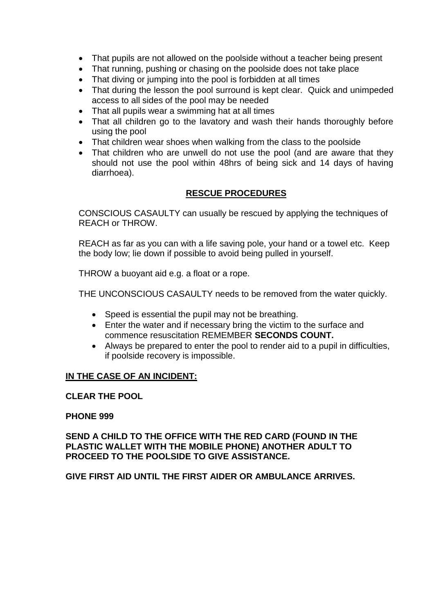- That pupils are not allowed on the poolside without a teacher being present
- That running, pushing or chasing on the poolside does not take place
- That diving or jumping into the pool is forbidden at all times
- That during the lesson the pool surround is kept clear. Quick and unimpeded access to all sides of the pool may be needed
- That all pupils wear a swimming hat at all times
- That all children go to the lavatory and wash their hands thoroughly before using the pool
- That children wear shoes when walking from the class to the poolside
- That children who are unwell do not use the pool (and are aware that they should not use the pool within 48hrs of being sick and 14 days of having diarrhoea).

# **RESCUE PROCEDURES**

CONSCIOUS CASAULTY can usually be rescued by applying the techniques of REACH or THROW.

REACH as far as you can with a life saving pole, your hand or a towel etc. Keep the body low; lie down if possible to avoid being pulled in yourself.

THROW a buoyant aid e.g. a float or a rope.

THE UNCONSCIOUS CASAULTY needs to be removed from the water quickly.

- Speed is essential the pupil may not be breathing.
- Enter the water and if necessary bring the victim to the surface and commence resuscitation REMEMBER **SECONDS COUNT.**
- Always be prepared to enter the pool to render aid to a pupil in difficulties, if poolside recovery is impossible.

# **IN THE CASE OF AN INCIDENT:**

**CLEAR THE POOL**

### **PHONE 999**

**SEND A CHILD TO THE OFFICE WITH THE RED CARD (FOUND IN THE PLASTIC WALLET WITH THE MOBILE PHONE) ANOTHER ADULT TO PROCEED TO THE POOLSIDE TO GIVE ASSISTANCE.**

**GIVE FIRST AID UNTIL THE FIRST AIDER OR AMBULANCE ARRIVES.**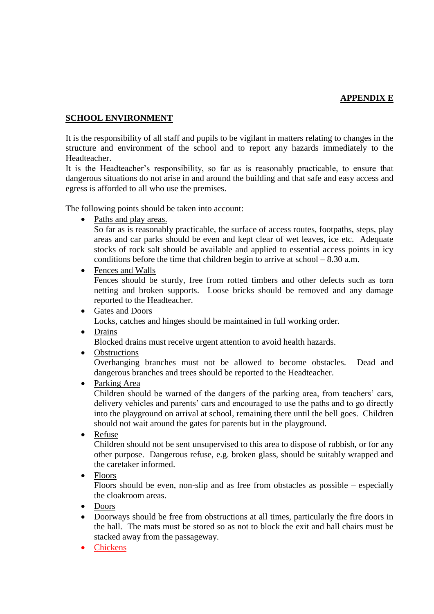# **APPENDIX E**

# **SCHOOL ENVIRONMENT**

It is the responsibility of all staff and pupils to be vigilant in matters relating to changes in the structure and environment of the school and to report any hazards immediately to the Headteacher.

It is the Headteacher's responsibility, so far as is reasonably practicable, to ensure that dangerous situations do not arise in and around the building and that safe and easy access and egress is afforded to all who use the premises.

The following points should be taken into account:

Paths and play areas.

So far as is reasonably practicable, the surface of access routes, footpaths, steps, play areas and car parks should be even and kept clear of wet leaves, ice etc. Adequate stocks of rock salt should be available and applied to essential access points in icy conditions before the time that children begin to arrive at school – 8.30 a.m.

• Fences and Walls

Fences should be sturdy, free from rotted timbers and other defects such as torn netting and broken supports. Loose bricks should be removed and any damage reported to the Headteacher.

- Gates and Doors Locks, catches and hinges should be maintained in full working order.
- Drains

Blocked drains must receive urgent attention to avoid health hazards.

• Obstructions

Overhanging branches must not be allowed to become obstacles. Dead and dangerous branches and trees should be reported to the Headteacher.

• Parking Area

Children should be warned of the dangers of the parking area, from teachers' cars, delivery vehicles and parents' cars and encouraged to use the paths and to go directly into the playground on arrival at school, remaining there until the bell goes. Children should not wait around the gates for parents but in the playground.

Refuse

Children should not be sent unsupervised to this area to dispose of rubbish, or for any other purpose. Dangerous refuse, e.g. broken glass, should be suitably wrapped and the caretaker informed.

• Floors

Floors should be even, non-slip and as free from obstacles as possible – especially the cloakroom areas.

- Doors
- Doorways should be free from obstructions at all times, particularly the fire doors in the hall. The mats must be stored so as not to block the exit and hall chairs must be stacked away from the passageway.
- Chickens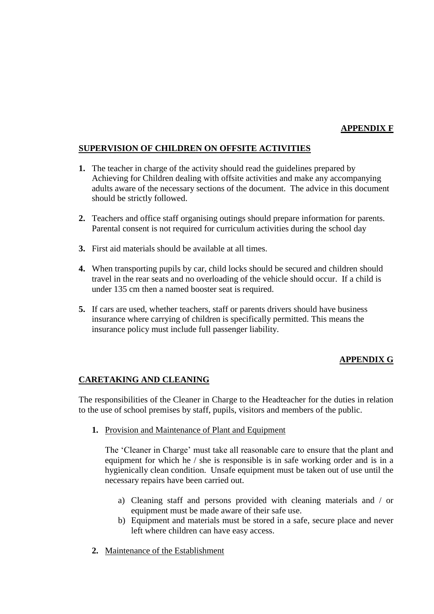### **APPENDIX F**

### **SUPERVISION OF CHILDREN ON OFFSITE ACTIVITIES**

- **1.** The teacher in charge of the activity should read the guidelines prepared by Achieving for Children dealing with offsite activities and make any accompanying adults aware of the necessary sections of the document. The advice in this document should be strictly followed.
- **2.** Teachers and office staff organising outings should prepare information for parents. Parental consent is not required for curriculum activities during the school day
- **3.** First aid materials should be available at all times.
- **4.** When transporting pupils by car, child locks should be secured and children should travel in the rear seats and no overloading of the vehicle should occur. If a child is under 135 cm then a named booster seat is required.
- **5.** If cars are used, whether teachers, staff or parents drivers should have business insurance where carrying of children is specifically permitted. This means the insurance policy must include full passenger liability.

### **APPENDIX G**

### **CARETAKING AND CLEANING**

The responsibilities of the Cleaner in Charge to the Headteacher for the duties in relation to the use of school premises by staff, pupils, visitors and members of the public.

**1.** Provision and Maintenance of Plant and Equipment

The 'Cleaner in Charge' must take all reasonable care to ensure that the plant and equipment for which he / she is responsible is in safe working order and is in a hygienically clean condition. Unsafe equipment must be taken out of use until the necessary repairs have been carried out.

- a) Cleaning staff and persons provided with cleaning materials and / or equipment must be made aware of their safe use.
- b) Equipment and materials must be stored in a safe, secure place and never left where children can have easy access.
- **2.** Maintenance of the Establishment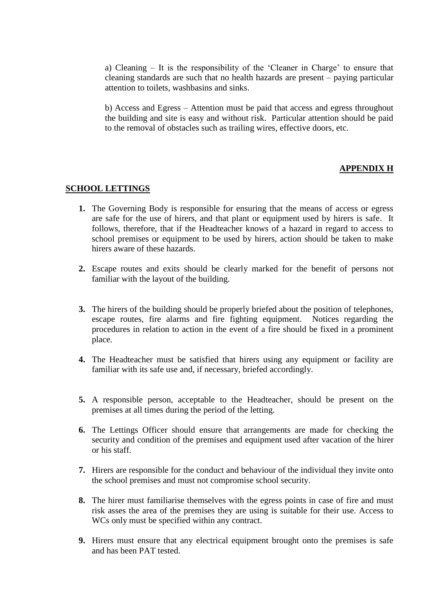a) Cleaning – It is the responsibility of the 'Cleaner in Charge' to ensure that cleaning standards are such that no health hazards are present – paying particular attention to toilets, washbasins and sinks.

b) Access and Egress – Attention must be paid that access and egress throughout the building and site is easy and without risk. Particular attention should be paid to the removal of obstacles such as trailing wires, effective doors, etc.

### **APPENDIX H**

#### **SCHOOL LETTINGS**

- **1.** The Governing Body is responsible for ensuring that the means of access or egress are safe for the use of hirers, and that plant or equipment used by hirers is safe. It follows, therefore, that if the Headteacher knows of a hazard in regard to access to school premises or equipment to be used by hirers, action should be taken to make hirers aware of these hazards.
- **2.** Escape routes and exits should be clearly marked for the benefit of persons not familiar with the layout of the building.
- **3.** The hirers of the building should be properly briefed about the position of telephones, escape routes, fire alarms and fire fighting equipment. Notices regarding the procedures in relation to action in the event of a fire should be fixed in a prominent place.
- **4.** The Headteacher must be satisfied that hirers using any equipment or facility are familiar with its safe use and, if necessary, briefed accordingly.
- **5.** A responsible person, acceptable to the Headteacher, should be present on the premises at all times during the period of the letting.
- **6.** The Lettings Officer should ensure that arrangements are made for checking the security and condition of the premises and equipment used after vacation of the hirer or his staff.
- **7.** Hirers are responsible for the conduct and behaviour of the individual they invite onto the school premises and must not compromise school security.
- **8.** The hirer must familiarise themselves with the egress points in case of fire and must risk asses the area of the premises they are using is suitable for their use. Access to WCs only must be specified within any contract.
- **9.** Hirers must ensure that any electrical equipment brought onto the premises is safe and has been PAT tested.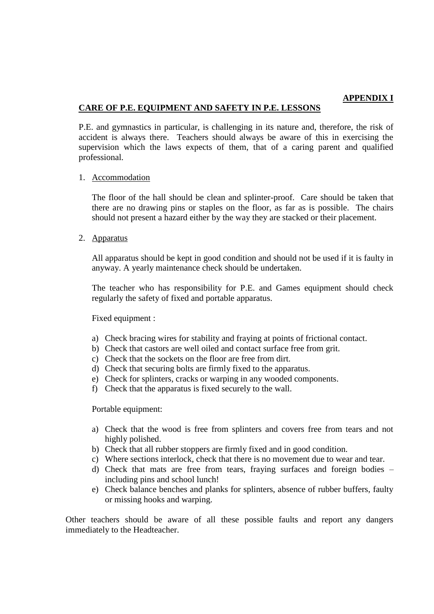### **APPENDIX I**

### **CARE OF P.E. EQUIPMENT AND SAFETY IN P.E. LESSONS**

P.E. and gymnastics in particular, is challenging in its nature and, therefore, the risk of accident is always there. Teachers should always be aware of this in exercising the supervision which the laws expects of them, that of a caring parent and qualified professional.

### 1. Accommodation

The floor of the hall should be clean and splinter-proof. Care should be taken that there are no drawing pins or staples on the floor, as far as is possible. The chairs should not present a hazard either by the way they are stacked or their placement.

### 2. Apparatus

All apparatus should be kept in good condition and should not be used if it is faulty in anyway. A yearly maintenance check should be undertaken.

The teacher who has responsibility for P.E. and Games equipment should check regularly the safety of fixed and portable apparatus.

### Fixed equipment :

- a) Check bracing wires for stability and fraying at points of frictional contact.
- b) Check that castors are well oiled and contact surface free from grit.
- c) Check that the sockets on the floor are free from dirt.
- d) Check that securing bolts are firmly fixed to the apparatus.
- e) Check for splinters, cracks or warping in any wooded components.
- f) Check that the apparatus is fixed securely to the wall.

Portable equipment:

- a) Check that the wood is free from splinters and covers free from tears and not highly polished.
- b) Check that all rubber stoppers are firmly fixed and in good condition.
- c) Where sections interlock, check that there is no movement due to wear and tear.
- d) Check that mats are free from tears, fraying surfaces and foreign bodies including pins and school lunch!
- e) Check balance benches and planks for splinters, absence of rubber buffers, faulty or missing hooks and warping.

Other teachers should be aware of all these possible faults and report any dangers immediately to the Headteacher.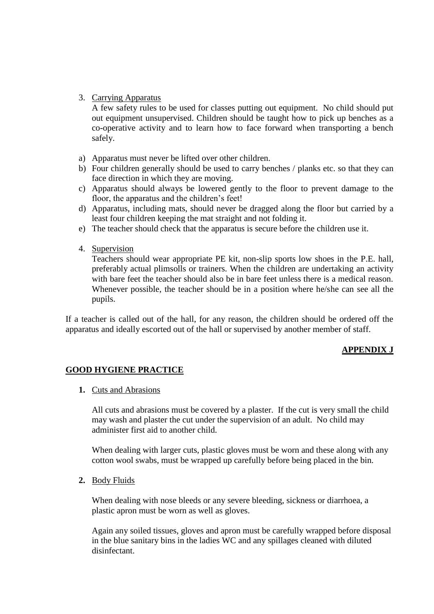# 3. Carrying Apparatus

A few safety rules to be used for classes putting out equipment. No child should put out equipment unsupervised. Children should be taught how to pick up benches as a co-operative activity and to learn how to face forward when transporting a bench safely.

- a) Apparatus must never be lifted over other children.
- b) Four children generally should be used to carry benches / planks etc. so that they can face direction in which they are moving.
- c) Apparatus should always be lowered gently to the floor to prevent damage to the floor, the apparatus and the children's feet!
- d) Apparatus, including mats, should never be dragged along the floor but carried by a least four children keeping the mat straight and not folding it.
- e) The teacher should check that the apparatus is secure before the children use it.
- 4. Supervision

Teachers should wear appropriate PE kit, non-slip sports low shoes in the P.E. hall, preferably actual plimsolls or trainers. When the children are undertaking an activity with bare feet the teacher should also be in bare feet unless there is a medical reason. Whenever possible, the teacher should be in a position where he/she can see all the pupils.

If a teacher is called out of the hall, for any reason, the children should be ordered off the apparatus and ideally escorted out of the hall or supervised by another member of staff.

# **APPENDIX J**

# **GOOD HYGIENE PRACTICE**

**1.** Cuts and Abrasions

All cuts and abrasions must be covered by a plaster. If the cut is very small the child may wash and plaster the cut under the supervision of an adult. No child may administer first aid to another child.

When dealing with larger cuts, plastic gloves must be worn and these along with any cotton wool swabs, must be wrapped up carefully before being placed in the bin.

**2.** Body Fluids

When dealing with nose bleeds or any severe bleeding, sickness or diarrhoea, a plastic apron must be worn as well as gloves.

Again any soiled tissues, gloves and apron must be carefully wrapped before disposal in the blue sanitary bins in the ladies WC and any spillages cleaned with diluted disinfectant.